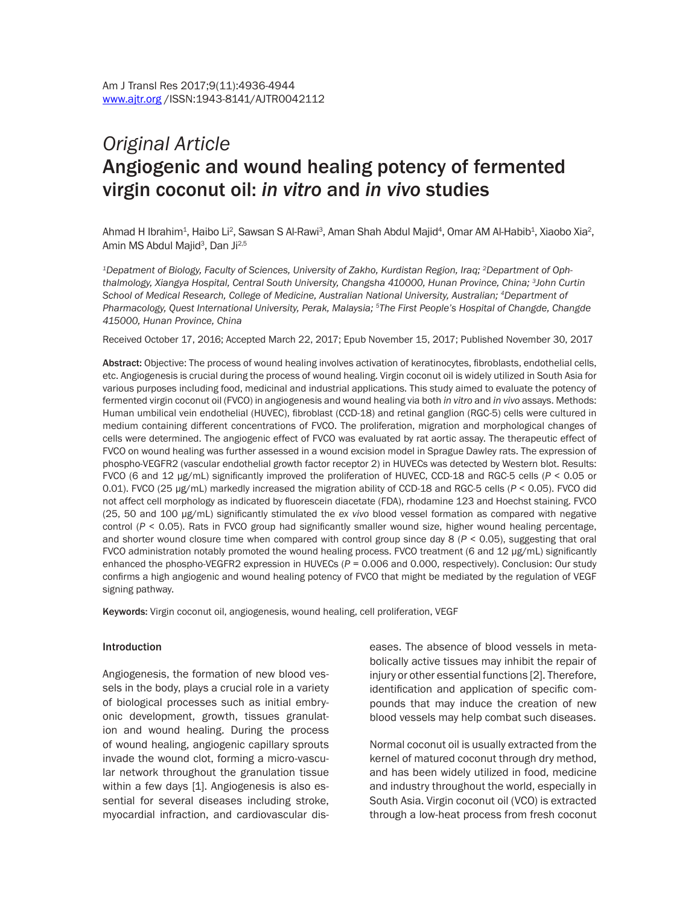# *Original article* Angiogenic and wound healing potency of fermented virgin coconut oil: *in vitro* and *in vivo* studies

Ahmad H Ibrahim<sup>1</sup>, Haibo Li<sup>2</sup>, Sawsan S Al-Rawi<sup>3</sup>, Aman Shah Abdul Majid<sup>4</sup>, Omar AM Al-Habib<sup>1</sup>, Xiaobo Xia<sup>2</sup>, Amin MS Abdul Majid<sup>3</sup>, Dan Ji<sup>2,5</sup>

*1Depatment of Biology, Faculty of Sciences, University of Zakho, Kurdistan Region, Iraq; 2Department of Ophthalmology, Xiangya Hospital, Central South University, Changsha 410000, Hunan Province, China; 3John Curtin School of Medical Research, College of Medicine, Australian National University, Australian; 4Department of Pharmacology, Quest International University, Perak, Malaysia; 5The First People's Hospital of Changde, Changde 415000, Hunan Province, China*

Received October 17, 2016; Accepted March 22, 2017; Epub November 15, 2017; Published November 30, 2017

Abstract: Objective: The process of wound healing involves activation of keratinocytes, fibroblasts, endothelial cells, etc. Angiogenesis is crucial during the process of wound healing. Virgin coconut oil is widely utilized in South Asia for various purposes including food, medicinal and industrial applications. This study aimed to evaluate the potency of fermented virgin coconut oil (FVCO) in angiogenesis and wound healing via both *in vitro* and *in vivo* assays. Methods: Human umbilical vein endothelial (HUVEC), fibroblast (CCD-18) and retinal ganglion (RGC-5) cells were cultured in medium containing different concentrations of FVCO. The proliferation, migration and morphological changes of cells were determined. The angiogenic effect of FVCO was evaluated by rat aortic assay. The therapeutic effect of FVCO on wound healing was further assessed in a wound excision model in Sprague Dawley rats. The expression of phospho-VEGFR2 (vascular endothelial growth factor receptor 2) in HUVECs was detected by Western blot. Results: FVCO (6 and 12 µg/mL) significantly improved the proliferation of HUVEC, CCD-18 and RGC-5 cells (*P* < 0.05 or 0.01). FVCO (25 µg/mL) markedly increased the migration ability of CCD-18 and RGC-5 cells (*P* < 0.05). FVCO did not affect cell morphology as indicated by fluorescein diacetate (FDA), rhodamine 123 and Hoechst staining. FVCO (25, 50 and 100 µg/mL) significantly stimulated the *ex vivo* blood vessel formation as compared with negative control  $(P < 0.05)$ . Rats in FVCO group had significantly smaller wound size, higher wound healing percentage, and shorter wound closure time when compared with control group since day 8 (*P* < 0.05), suggesting that oral FVCO administration notably promoted the wound healing process. FVCO treatment (6 and 12 µg/mL) significantly enhanced the phospho-VEGFR2 expression in HUVECs (*P* = 0.006 and 0.000, respectively). Conclusion: Our study confirms a high angiogenic and wound healing potency of FVCO that might be mediated by the regulation of VEGF signing pathway.

Keywords: Virgin coconut oil, angiogenesis, wound healing, cell proliferation, VEGF

#### Introduction

Angiogenesis, the formation of new blood vessels in the body, plays a crucial role in a variety of biological processes such as initial embryonic development, growth, tissues granulation and wound healing. During the process of wound healing, angiogenic capillary sprouts invade the wound clot, forming a micro-vascular network throughout the granulation tissue within a few days [1]. Angiogenesis is also essential for several diseases including stroke, myocardial infraction, and cardiovascular diseases. The absence of blood vessels in metabolically active tissues may inhibit the repair of injury or other essential functions [2]. Therefore, identification and application of specific compounds that may induce the creation of new blood vessels may help combat such diseases.

Normal coconut oil is usually extracted from the kernel of matured coconut through dry method, and has been widely utilized in food, medicine and industry throughout the world, especially in South Asia. Virgin coconut oil (VCO) is extracted through a low-heat process from fresh coconut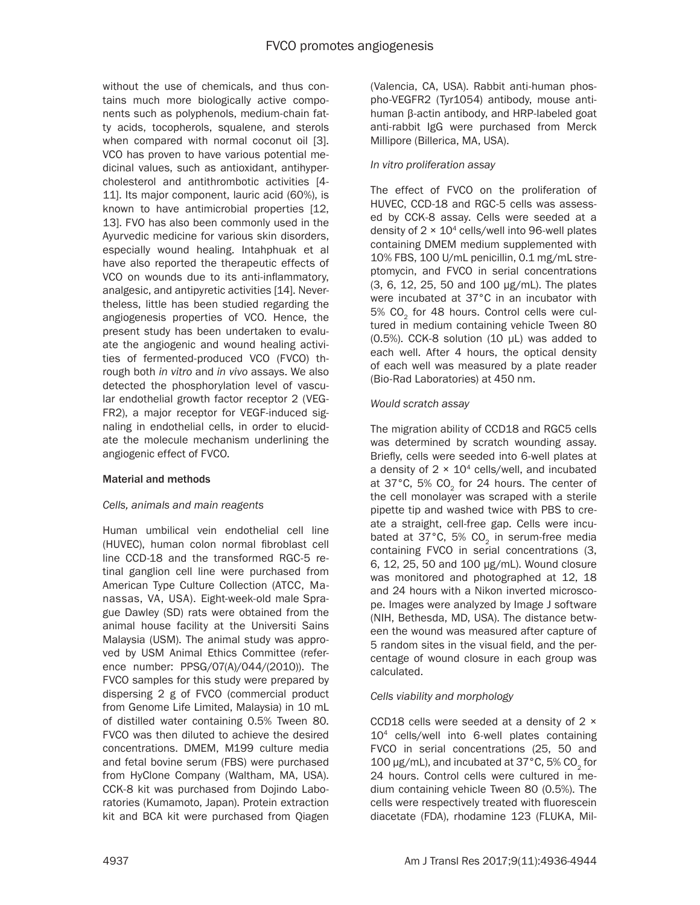without the use of chemicals, and thus contains much more biologically active components such as polyphenols, medium-chain fatty acids, tocopherols, squalene, and sterols when compared with normal coconut oil [3]. VCO has proven to have various potential medicinal values, such as antioxidant, antihypercholesterol and antithrombotic activities [4- 11]. Its major component, lauric acid (60%), is known to have antimicrobial properties [12, 13]. FVO has also been commonly used in the Ayurvedic medicine for various skin disorders, especially wound healing. Intahphuak et al have also reported the therapeutic effects of VCO on wounds due to its anti-inflammatory, analgesic, and antipyretic activities [14]. Nevertheless, little has been studied regarding the angiogenesis properties of VCO. Hence, the present study has been undertaken to evaluate the angiogenic and wound healing activities of fermented-produced VCO (FVCO) through both *in vitro* and *in vivo* assays. We also detected the phosphorylation level of vascular endothelial growth factor receptor 2 (VEG-FR2), a major receptor for VEGF-induced signaling in endothelial cells, in order to elucidate the molecule mechanism underlining the angiogenic effect of FVCO.

## Material and methods

## *Cells, animals and main reagents*

Human umbilical vein endothelial cell line (HUVEC), human colon normal fibroblast cell line CCD-18 and the transformed RGC-5 retinal ganglion cell line were purchased from American Type Culture Collection (ATCC, Manassas, VA, USA). Eight-week-old male Sprague Dawley (SD) rats were obtained from the animal house facility at the Universiti Sains Malaysia (USM). The animal study was approved by USM Animal Ethics Committee (reference number: PPSG/07(A)/044/(2010)). The FVCO samples for this study were prepared by dispersing 2 g of FVCO (commercial product from Genome Life Limited, Malaysia) in 10 mL of distilled water containing 0.5% Tween 80. FVCO was then diluted to achieve the desired concentrations. DMEM, M199 culture media and fetal bovine serum (FBS) were purchased from HyClone Company (Waltham, MA, USA). CCK-8 kit was purchased from Dojindo Laboratories (Kumamoto, Japan). Protein extraction kit and BCA kit were purchased from Qiagen (Valencia, CA, USA). Rabbit anti-human phospho-VEGFR2 (Tyr1054) antibody, mouse antihuman β-actin antibody, and HRP-labeled goat anti-rabbit IgG were purchased from Merck Millipore (Billerica, MA, USA).

## *In vitro proliferation assay*

The effect of FVCO on the proliferation of HUVEC, CCD-18 and RGC-5 cells was assessed by CCK-8 assay. Cells were seeded at a density of  $2 \times 10^4$  cells/well into 96-well plates containing DMEM medium supplemented with 10% FBS, 100 U/mL penicillin, 0.1 mg/mL streptomycin, and FVCO in serial concentrations (3, 6, 12, 25, 50 and 100 µg/mL). The plates were incubated at 37°C in an incubator with 5%  $CO<sub>2</sub>$  for 48 hours. Control cells were cultured in medium containing vehicle Tween 80 (0.5%). CCK-8 solution (10 µL) was added to each well. After 4 hours, the optical density of each well was measured by a plate reader (Bio-Rad Laboratories) at 450 nm.

## *Would scratch assay*

The migration ability of CCD18 and RGC5 cells was determined by scratch wounding assay. Briefly, cells were seeded into 6-well plates at a density of  $2 \times 10^4$  cells/well, and incubated at 37°C, 5% CO<sub>2</sub> for 24 hours. The center of the cell monolayer was scraped with a sterile pipette tip and washed twice with PBS to create a straight, cell-free gap. Cells were incubated at 37°C, 5% CO<sub>2</sub> in serum-free media containing FVCO in serial concentrations (3, 6, 12, 25, 50 and 100 µg/mL). Wound closure was monitored and photographed at 12, 18 and 24 hours with a Nikon inverted microscope. Images were analyzed by Image J software (NIH, Bethesda, MD, USA). The distance between the wound was measured after capture of 5 random sites in the visual field, and the percentage of wound closure in each group was calculated.

# *Cells viability and morphology*

CCD18 cells were seeded at a density of 2 × 104 cells/well into 6-well plates containing FVCO in serial concentrations (25, 50 and 100  $\mu$ g/mL), and incubated at 37 $^{\circ}$ C, 5% CO<sub>2</sub> for 24 hours. Control cells were cultured in medium containing vehicle Tween 80 (0.5%). The cells were respectively treated with fluorescein diacetate (FDA), rhodamine 123 (FLUKA, Mil-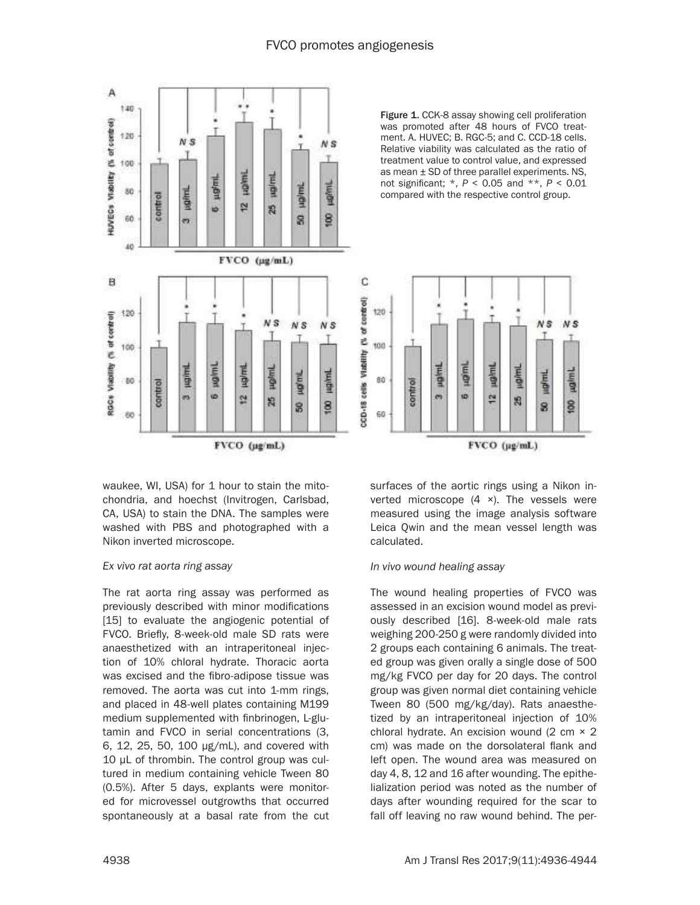

waukee, WI, USA) for 1 hour to stain the mitochondria, and hoechst (Invitrogen, Carlsbad, CA, USA) to stain the DNA. The samples were washed with PBS and photographed with a Nikon inverted microscope.

#### *Ex vivo rat aorta ring assay*

The rat aorta ring assay was performed as previously described with minor modifications [15] to evaluate the angiogenic potential of FVCO. Briefly, 8-week-old male SD rats were anaesthetized with an intraperitoneal injection of 10% chloral hydrate. Thoracic aorta was excised and the fibro-adipose tissue was removed. The aorta was cut into 1-mm rings, and placed in 48-well plates containing M199 medium supplemented with finbrinogen, L-glutamin and FVCO in serial concentrations (3, 6, 12, 25, 50, 100 µg/mL), and covered with 10 µL of thrombin. The control group was cultured in medium containing vehicle Tween 80 (0.5%). After 5 days, explants were monitored for microvessel outgrowths that occurred spontaneously at a basal rate from the cut

Figure 1. CCK-8 assay showing cell proliferation was promoted after 48 hours of FVCO treatment. A. HUVEC; B. RGC-5; and C. CCD-18 cells. Relative viability was calculated as the ratio of treatment value to control value, and expressed as mean ± SD of three parallel experiments. NS, not significant; \*, *P* < 0.05 and \*\*, *P* < 0.01 compared with the respective control group.



surfaces of the aortic rings using a Nikon inverted microscope  $(4 \times)$ . The vessels were measured using the image analysis software Leica Qwin and the mean vessel length was calculated.

#### *In vivo wound healing assay*

The wound healing properties of FVCO was assessed in an excision wound model as previously described [16]. 8-week-old male rats weighing 200-250 g were randomly divided into 2 groups each containing 6 animals. The treated group was given orally a single dose of 500 mg/kg FVCO per day for 20 days. The control group was given normal diet containing vehicle Tween 80 (500 mg/kg/day). Rats anaesthetized by an intraperitoneal injection of 10% chloral hydrate. An excision wound  $(2 \text{ cm} \times 2)$ cm) was made on the dorsolateral flank and left open. The wound area was measured on day 4, 8, 12 and 16 after wounding. The epithelialization period was noted as the number of days after wounding required for the scar to fall off leaving no raw wound behind. The per-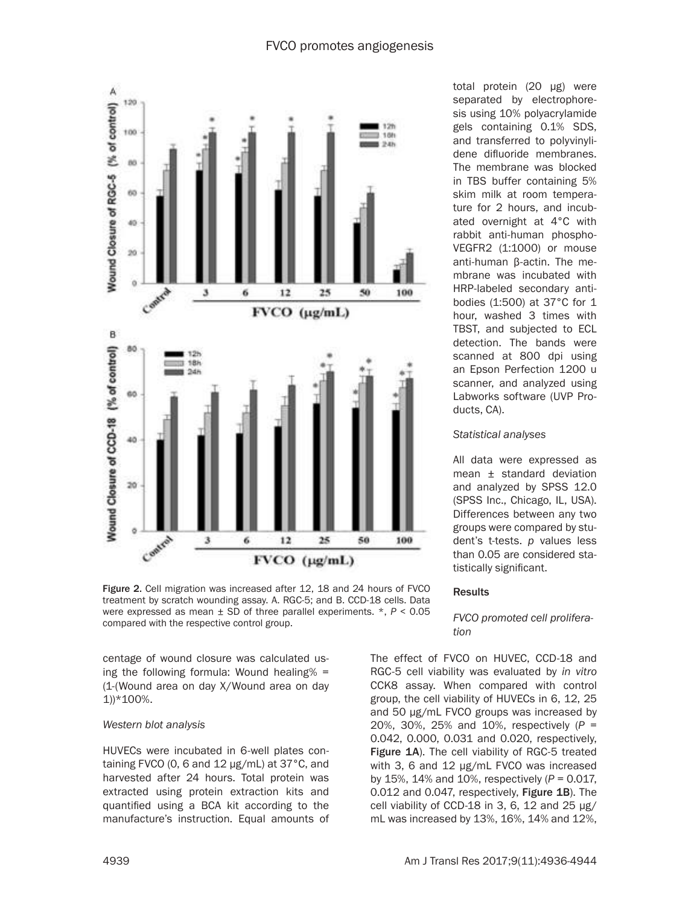

Figure 2. Cell migration was increased after 12, 18 and 24 hours of FVCO treatment by scratch wounding assay. A. RGC-5; and B. CCD-18 cells. Data were expressed as mean ± SD of three parallel experiments. \*, *P* < 0.05 compared with the respective control group.

centage of wound closure was calculated using the following formula: Wound healing% = (1-(Wound area on day X/Wound area on day 1))\*100%.

## *Western blot analysis*

HUVECs were incubated in 6-well plates containing FVCO (0, 6 and  $12 \mu g/mL$ ) at 37°C, and harvested after 24 hours. Total protein was extracted using protein extraction kits and quantified using a BCA kit according to the manufacture's instruction. Equal amounts of

total protein (20 μg) were separated by electrophoresis using 10% polyacrylamide gels containing 0.1% SDS, and transferred to polyvinylidene difluoride membranes. The membrane was blocked in TBS buffer containing 5% skim milk at room temperature for 2 hours, and incubated overnight at 4°C with rabbit anti-human phospho-VEGFR2 (1:1000) or mouse anti-human β-actin. The membrane was incubated with HRP-labeled secondary antibodies (1:500) at 37°C for 1 hour, washed 3 times with TBST, and subjected to ECL detection. The bands were scanned at 800 dpi using an Epson Perfection 1200 u scanner, and analyzed using Labworks software (UVP Products, CA).

#### *Statistical analyses*

All data were expressed as mean ± standard deviation and analyzed by SPSS 12.0 (SPSS Inc., Chicago, IL, USA). Differences between any two groups were compared by student's t-tests. *p* values less than 0.05 are considered statistically significant.

## Results

## *FVCO promoted cell proliferation*

The effect of FVCO on HUVEC, CCD-18 and RGC-5 cell viability was evaluated by *in vitro* CCK8 assay. When compared with control group, the cell viability of HUVECs in 6, 12, 25 and 50 µg/mL FVCO groups was increased by 20%, 30%, 25% and 10%, respectively (*P* = 0.042, 0.000, 0.031 and 0.020, respectively, Figure 1A). The cell viability of RGC-5 treated with 3, 6 and 12 µg/mL FVCO was increased by 15%, 14% and 10%, respectively (*P* = 0.017, 0.012 and 0.047, respectively, Figure 1B). The cell viability of CCD-18 in 3, 6, 12 and 25  $\mu$ g/ mL was increased by 13%, 16%, 14% and 12%,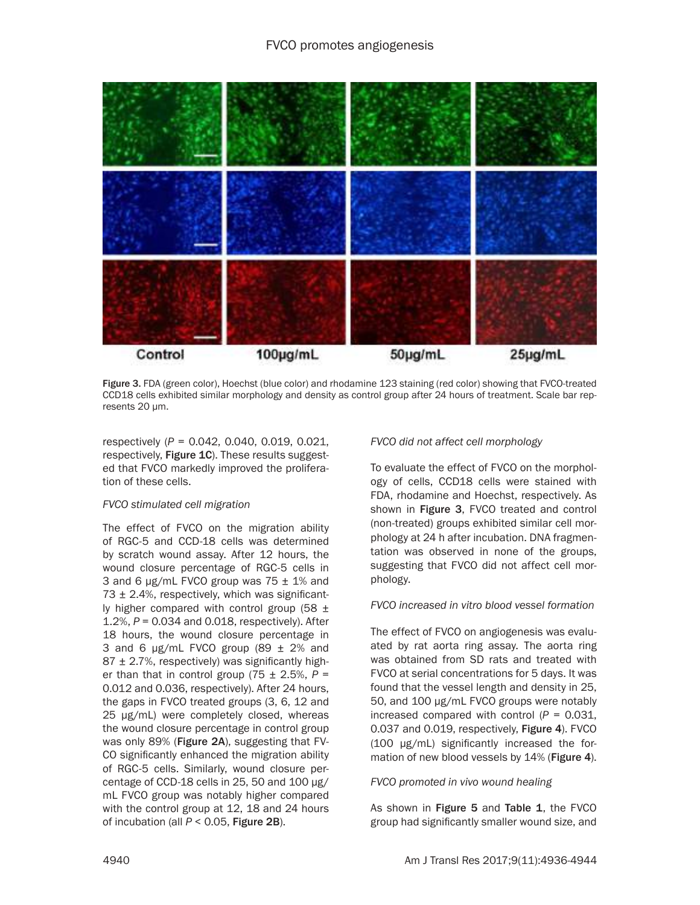

Figure 3. FDA (green color), Hoechst (blue color) and rhodamine 123 staining (red color) showing that FVCO-treated CCD18 cells exhibited similar morphology and density as control group after 24 hours of treatment. Scale bar represents 20 µm.

respectively (*P* = 0.042, 0.040, 0.019, 0.021, respectively, Figure 1C). These results suggested that FVCO markedly improved the proliferation of these cells.

## *FVCO stimulated cell migration*

The effect of FVCO on the migration ability of RGC-5 and CCD-18 cells was determined by scratch wound assay. After 12 hours, the wound closure percentage of RGC-5 cells in 3 and 6  $\mu$ g/mL FVCO group was 75  $\pm$  1% and  $73 \pm 2.4$ %, respectively, which was significantly higher compared with control group (58  $\pm$ 1.2%, *P* = 0.034 and 0.018, respectively). After 18 hours, the wound closure percentage in 3 and 6  $\mu$ g/mL FVCO group (89  $\pm$  2% and  $87 \pm 2.7$ %, respectively) was significantly higher than that in control group  $(75 \pm 2.5\% , P =$ 0.012 and 0.036, respectively). After 24 hours, the gaps in FVCO treated groups (3, 6, 12 and 25 µg/mL) were completely closed, whereas the wound closure percentage in control group was only 89% (Figure 2A), suggesting that FV-CO significantly enhanced the migration ability of RGC-5 cells. Similarly, wound closure percentage of CCD-18 cells in 25, 50 and 100 µg/ mL FVCO group was notably higher compared with the control group at 12, 18 and 24 hours of incubation (all *P* < 0.05, Figure 2B).

*FVCO did not affect cell morphology*

To evaluate the effect of FVCO on the morphology of cells, CCD18 cells were stained with FDA, rhodamine and Hoechst, respectively. As shown in Figure 3, FVCO treated and control (non-treated) groups exhibited similar cell morphology at 24 h after incubation. DNA fragmentation was observed in none of the groups, suggesting that FVCO did not affect cell morphology.

## *FVCO increased in vitro blood vessel formation*

The effect of FVCO on angiogenesis was evaluated by rat aorta ring assay. The aorta ring was obtained from SD rats and treated with FVCO at serial concentrations for 5 days. It was found that the vessel length and density in 25, 50, and 100 µg/mL FVCO groups were notably increased compared with control  $(P = 0.031,$ 0.037 and 0.019, respectively, Figure 4). FVCO (100 µg/mL) significantly increased the formation of new blood vessels by 14% (Figure 4).

*FVCO promoted in vivo wound healing*

As shown in Figure 5 and Table 1, the FVCO group had significantly smaller wound size, and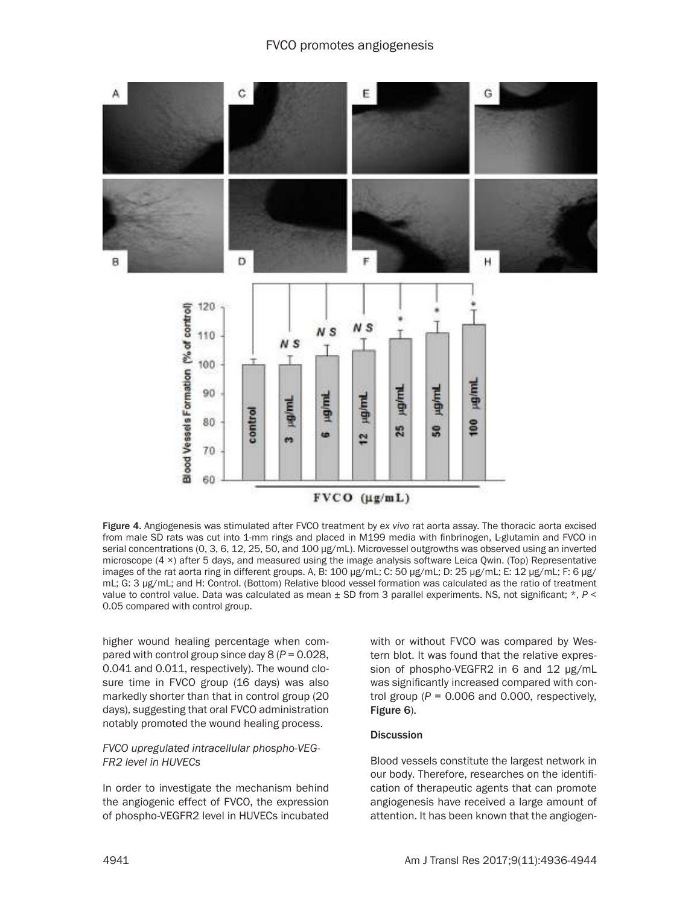

Figure 4. Angiogenesis was stimulated after FVCO treatment by e*x vivo* rat aorta assay. The thoracic aorta excised from male SD rats was cut into 1-mm rings and placed in M199 media with finbrinogen, L-glutamin and FVCO in serial concentrations (0, 3, 6, 12, 25, 50, and 100 µg/mL). Microvessel outgrowths was observed using an inverted microscope (4 ×) after 5 days, and measured using the image analysis software Leica Qwin. (Top) Representative images of the rat aorta ring in different groups. A, B: 100 µg/mL; C: 50 µg/mL; D: 25 µg/mL; E: 12 µg/mL; F: 6 µg/ mL; G: 3 µg/mL; and H: Control. (Bottom) Relative blood vessel formation was calculated as the ratio of treatment value to control value. Data was calculated as mean ± SD from 3 parallel experiments. NS, not significant; \*, *P* < 0.05 compared with control group.

higher wound healing percentage when compared with control group since day 8 (*P* = 0.028, 0.041 and 0.011, respectively). The wound closure time in FVCO group (16 days) was also markedly shorter than that in control group (20 days), suggesting that oral FVCO administration notably promoted the wound healing process.

## *FVCO upregulated intracellular phospho-VEG-FR2 level in HUVECs*

In order to investigate the mechanism behind the angiogenic effect of FVCO, the expression of phospho-VEGFR2 level in HUVECs incubated with or without FVCO was compared by Western blot. It was found that the relative expression of phospho-VEGFR2 in 6 and 12 µg/mL was significantly increased compared with control group  $(P = 0.006$  and 0.000, respectively, Figure 6).

## Discussion

Blood vessels constitute the largest network in our body. Therefore, researches on the identification of therapeutic agents that can promote angiogenesis have received a large amount of attention. It has been known that the angiogen-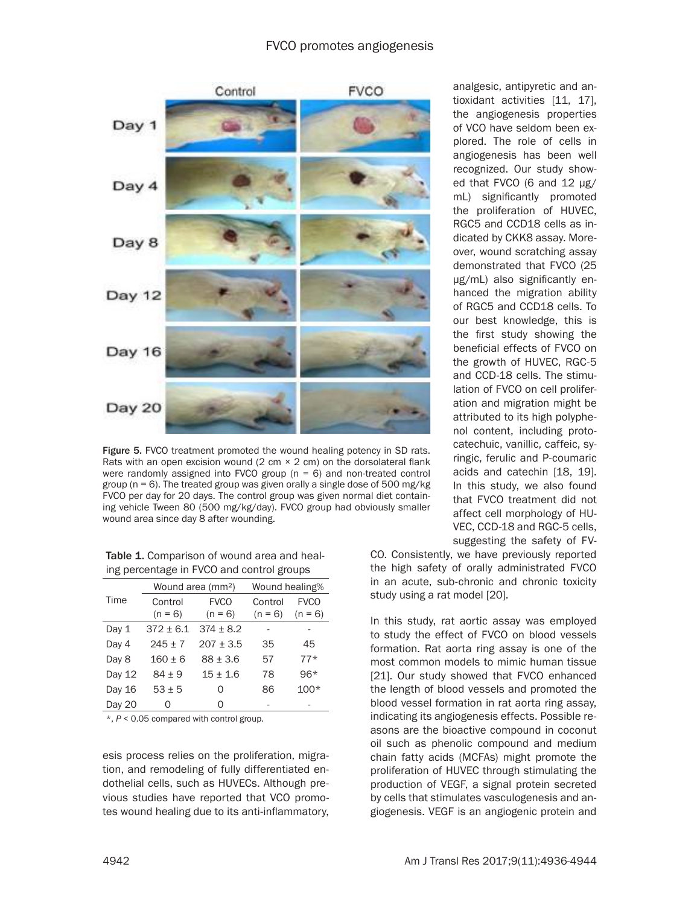

Figure 5. FVCO treatment promoted the wound healing potency in SD rats. Rats with an open excision wound  $(2 \text{ cm} \times 2 \text{ cm})$  on the dorsolateral flank were randomly assigned into FVCO group ( $n = 6$ ) and non-treated control group (n = 6). The treated group was given orally a single dose of 500 mg/kg FVCO per day for 20 days. The control group was given normal diet containing vehicle Tween 80 (500 mg/kg/day). FVCO group had obviously smaller wound area since day 8 after wounding.

Table 1. Comparison of wound area and healing percentage in FVCO and control groups

|        | Wound area (mm <sup>2</sup> ) |               | Wound healing% |             |
|--------|-------------------------------|---------------|----------------|-------------|
| Time   | Control                       | <b>FVCO</b>   | Control        | <b>FVCO</b> |
|        | $(n = 6)$                     | $(n = 6)$     | $(n = 6)$      | $(n = 6)$   |
| Day 1  | $372 \pm 6.1$                 | $374 \pm 8.2$ |                |             |
| Day 4  | $245 \pm 7$                   | $207 + 3.5$   | 35             | 45          |
| Day 8  | $160 + 6$                     | $88 \pm 3.6$  | 57             | $77*$       |
| Day 12 | $84 + 9$                      | $15 \pm 1.6$  | 78             | $96*$       |
| Day 16 | $53 + 5$                      | Ω             | 86             | $100*$      |
| Day 20 | Ω                             | Ω             |                |             |

\*, *P* < 0.05 compared with control group.

esis process relies on the proliferation, migration, and remodeling of fully differentiated endothelial cells, such as HUVECs. Although previous studies have reported that VCO promotes wound healing due to its anti-inflammatory,

analgesic, antipyretic and antioxidant activities [11, 17], the angiogenesis properties of VCO have seldom been explored. The role of cells in angiogenesis has been well recognized. Our study showed that FVCO (6 and 12 µg/ mL) significantly promoted the proliferation of HUVEC, RGC5 and CCD18 cells as indicated by CKK8 assay. Moreover, wound scratching assay demonstrated that FVCO (25 µg/mL) also significantly enhanced the migration ability of RGC5 and CCD18 cells. To our best knowledge, this is the first study showing the beneficial effects of FVCO on the growth of HUVEC, RGC-5 and CCD-18 cells. The stimulation of FVCO on cell proliferation and migration might be attributed to its high polyphenol content, including protocatechuic, vanillic, caffeic, syringic, ferulic and P-coumaric acids and catechin [18, 19]. In this study, we also found that FVCO treatment did not affect cell morphology of HU-VEC, CCD-18 and RGC-5 cells, suggesting the safety of FV-

CO. Consistently, we have previously reported the high safety of orally administrated FVCO in an acute, sub-chronic and chronic toxicity study using a rat model [20].

In this study, rat aortic assay was employed to study the effect of FVCO on blood vessels formation. Rat aorta ring assay is one of the most common models to mimic human tissue [21]. Our study showed that FVCO enhanced the length of blood vessels and promoted the blood vessel formation in rat aorta ring assay, indicating its angiogenesis effects. Possible reasons are the bioactive compound in coconut oil such as phenolic compound and medium chain fatty acids (MCFAs) might promote the proliferation of HUVEC through stimulating the production of VEGF, a signal protein secreted by cells that stimulates vasculogenesis and angiogenesis. VEGF is an angiogenic protein and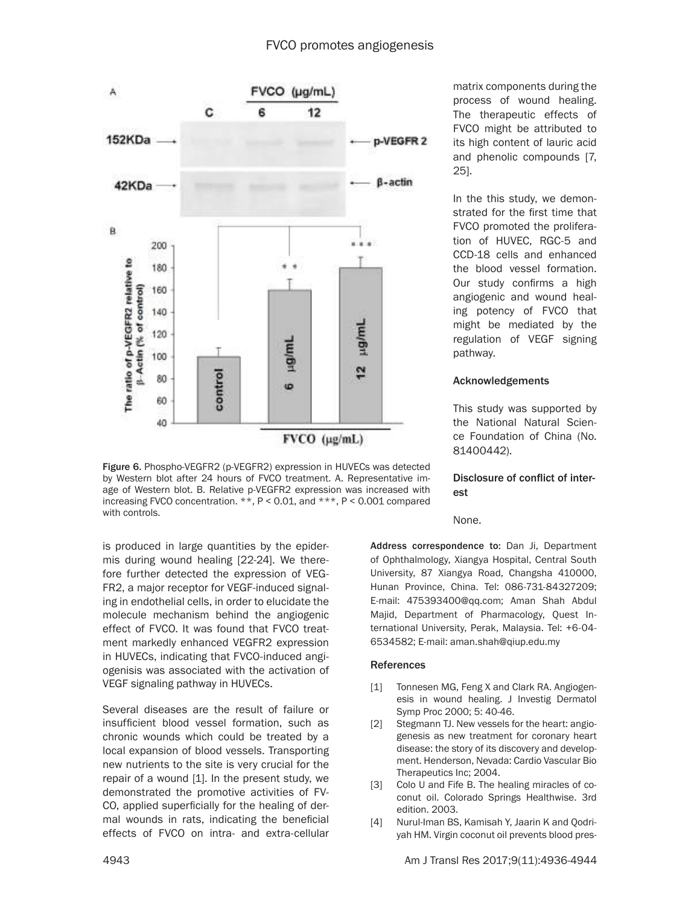

Figure 6. Phospho-VEGFR2 (p-VEGFR2) expression in HUVECs was detected by Western blot after 24 hours of FVCO treatment. A. Representative image of Western blot. B. Relative p-VEGFR2 expression was increased with increasing FVCO concentration. \*\*, P < 0.01, and \*\*\*, P < 0.001 compared with controls.

is produced in large quantities by the epidermis during wound healing [22-24]. We therefore further detected the expression of VEG-FR2, a major receptor for VEGF-induced signaling in endothelial cells, in order to elucidate the molecule mechanism behind the angiogenic effect of FVCO. It was found that FVCO treatment markedly enhanced VEGFR2 expression in HUVECs, indicating that FVCO-induced angiogenisis was associated with the activation of VEGF signaling pathway in HUVECs.

Several diseases are the result of failure or insufficient blood vessel formation, such as chronic wounds which could be treated by a local expansion of blood vessels. Transporting new nutrients to the site is very crucial for the repair of a wound [1]. In the present study, we demonstrated the promotive activities of FV-CO, applied superficially for the healing of dermal wounds in rats, indicating the beneficial effects of FVCO on intra- and extra-cellular matrix components during the process of wound healing. The therapeutic effects of FVCO might be attributed to its high content of lauric acid and phenolic compounds [7, 25].

In the this study, we demonstrated for the first time that FVCO promoted the proliferation of HUVEC, RGC-5 and CCD-18 cells and enhanced the blood vessel formation. Our study confirms a high angiogenic and wound healing potency of FVCO that might be mediated by the regulation of VEGF signing pathway.

## Acknowledgements

This study was supported by the National Natural Science Foundation of China (No. 81400442).

## Disclosure of conflict of interest

None.

Address correspondence to: Dan Ji, Department of Ophthalmology, Xiangya Hospital, Central South University, 87 Xiangya Road, Changsha 410000, Hunan Province, China. Tel: 086-731-84327209; E-mail: 475393400@qq.com; Aman Shah Abdul Majid, Department of Pharmacology, Quest International University, Perak, Malaysia. Tel: +6-04- 6534582; E-mail: aman.shah@qiup.edu.my

# References

- [1] Tonnesen MG, Feng X and Clark RA. Angiogenesis in wound healing. J Investig Dermatol Symp Proc 2000; 5: 40-46.
- [2] Stegmann TJ. New vessels for the heart: angiogenesis as new treatment for coronary heart disease: the story of its discovery and development. Henderson, Nevada: Cardio Vascular Bio Therapeutics Inc; 2004.
- [3] Colo U and Fife B. The healing miracles of coconut oil. Colorado Springs Healthwise. 3rd edition. 2003.
- [4] Nurul-Iman BS, Kamisah Y, Jaarin K and Qodriyah HM. Virgin coconut oil prevents blood pres-

4943 Am J Transl Res 2017;9(11):4936-4944